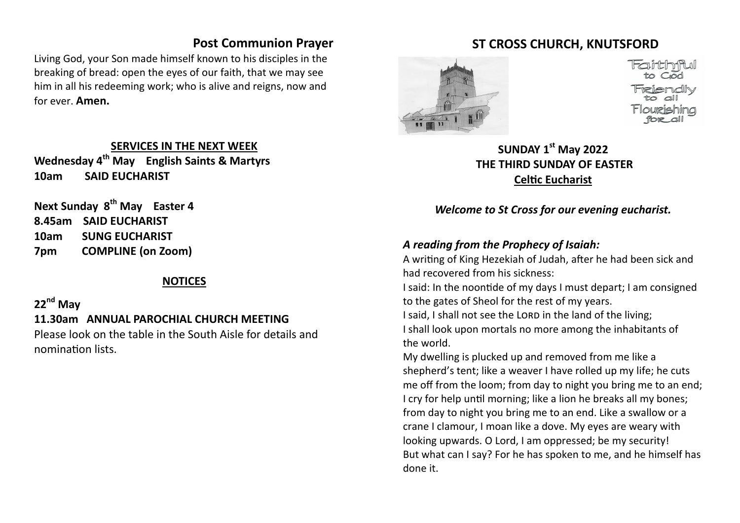### **Post Communion Prayer**

Living God, your Son made himself known to his disciples in the breaking of bread: open the eyes of our faith, that we may see him in all his redeeming work; who is alive and reigns, now and for ever. **Amen.**

#### **SERVICES IN THE NEXT WEEK**

**Wednesday 4th May English Saints & Martyrs 10am SAID EUCHARIST** 

**Next Sunday 8th May Easter 4 8.45am SAID EUCHARIST 10am SUNG EUCHARIST 7pm COMPLINE (on Zoom)**

#### **NOTICES**

## **22nd May**

### **11.30am ANNUAL PAROCHIAL CHURCH MEETING**

Please look on the table in the South Aisle for details and nomination lists.

### **ST CROSS CHURCH, KNUTSFORD**



**SUNDAY 1st May 2022 THE THIRD SUNDAY OF EASTER Celtic Eucharist**

*Welcome to St Cross for our evening eucharist.* 

#### *A reading from the Prophecy of Isaiah:*

A writing of King Hezekiah of Judah, after he had been sick and had recovered from his sickness:

I said: In the noontide of my days I must depart; I am consigned to the gates of Sheol for the rest of my years.

I said, I shall not see the LORD in the land of the living; I shall look upon mortals no more among the inhabitants of the world.

My dwelling is plucked up and removed from me like a shepherd's tent; like a weaver I have rolled up my life; he cuts me off from the loom; from day to night you bring me to an end; I cry for help until morning; like a lion he breaks all my bones; from day to night you bring me to an end. Like a swallow or a crane I clamour, I moan like a dove. My eyes are weary with looking upwards. O Lord, I am oppressed; be my security! But what can I say? For he has spoken to me, and he himself has done it.